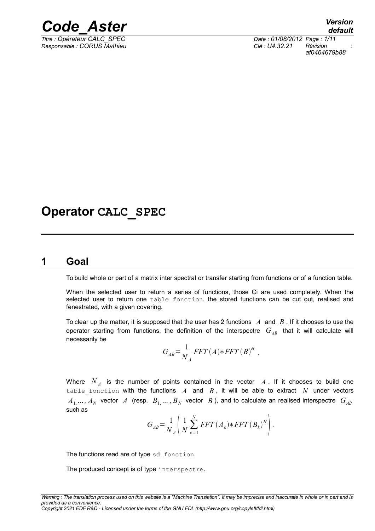

*Titre : Opérateur CALC\_SPEC Date : 01/08/2012 Page : 1/11 Responsable : CORUS Mathieu Clé : U4.32.21 Révision :*

*af0464679b88*

## **Operator CALC\_SPEC**

#### **1 Goal**

<span id="page-0-0"></span>To build whole or part of a matrix inter spectral or transfer starting from functions or of a function table.

When the selected user to return a series of functions, those Ci are used completely. When the selected user to return one table fonction, the stored functions can be cut out, realised and fenestrated, with a given covering.

To clear up the matter, it is supposed that the user has 2 functions *A* and *B* . If it chooses to use the operator starting from functions, the definition of the interspectre  $G_{AB}$  that it will calculate will necessarily be

$$
G_{AB} = \frac{1}{N_A} FFT(A) * FFT(B)^H.
$$

Where  $N_A$  is the number of points contained in the vector  $A$ . If it chooses to build one table fonction with the functions  $A$  and  $B$ , it will be able to extract  $N$  under vectors  $A_1,...,A_N$  vector  $A$  (resp.  $B_1,...,B_N$  vector  $B$  ), and to calculate an realised interspectre  $G_{AB}$ such as

$$
G_{AB} = \frac{1}{N_A} \left( \frac{1}{N} \sum_{k=1}^{N} FFT(A_k) * FFT(B_k)^{H} \right).
$$

The functions read are of type sd fonction.

The produced concept is of type interspectre.

*Copyright 2021 EDF R&D - Licensed under the terms of the GNU FDL (http://www.gnu.org/copyleft/fdl.html)*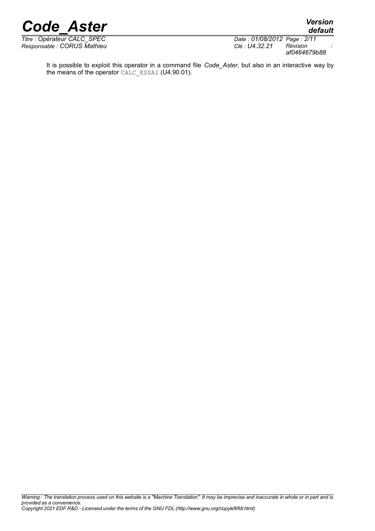*Responsable : CORUS Mathieu Clé : U4.32.21 Révision :*

*Titre : Opérateur CALC\_SPEC Date : 01/08/2012 Page : 2/11 af0464679b88*

*default*

It is possible to exploit this operator in a command file *Code\_Aster,* but also in an interactive way by the means of the operator CALC\_ESSAI (U4.90.01).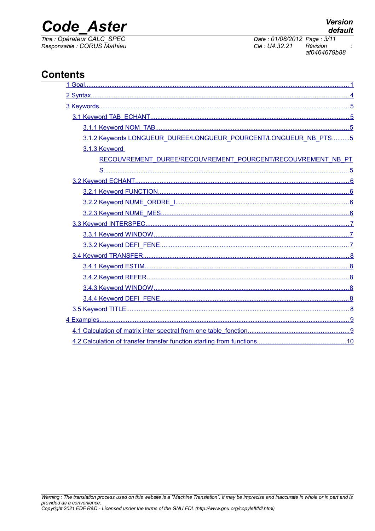## **Code Aster**

Titre : Opérateur CALC\_SPEC<br>Responsable : CORUS Mathieu

**Version** default

Date: 01/08/2012 Page: 3/11 Clé : U4.32.21 Révision af0464679b88

### **Contents**

| 3.1.2 Keywords LONGUEUR_DUREE/LONGUEUR_POURCENT/LONGUEUR_NB_PTS5 |
|------------------------------------------------------------------|
| 3.1.3 Keyword                                                    |
| RECOUVREMENT DUREE/RECOUVREMENT POURCENT/RECOUVREMENT NB PT      |
|                                                                  |
|                                                                  |
|                                                                  |
|                                                                  |
|                                                                  |
|                                                                  |
|                                                                  |
|                                                                  |
|                                                                  |
|                                                                  |
|                                                                  |
|                                                                  |
|                                                                  |
|                                                                  |
|                                                                  |
|                                                                  |
|                                                                  |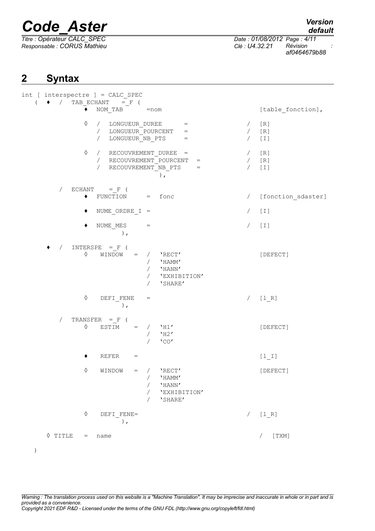*Titre : Opérateur CALC\_SPEC Date : 01/08/2012 Page : 4/11 Responsable : CORUS Mathieu Clé : U4.32.21 Révision : af0464679b88*

### <span id="page-3-0"></span>**2 Syntax**

| int [ interspectre ] = CALC_SPEC<br>$\bullet$ / TAB ECHANT = F (<br>$\left($                                                                                                  |                          |                           |
|-------------------------------------------------------------------------------------------------------------------------------------------------------------------------------|--------------------------|---------------------------|
| $NOM\_TAB$ = $nom$<br>٠                                                                                                                                                       |                          | [table_fonction],         |
| $\Diamond$<br>/ LONGUEUR DUREE<br>$=$<br>/ LONGUEUR POURCENT<br>$=$<br>LONGUEUR NB PTS<br>$\sqrt{2}$<br>$=$                                                                   | $\sqrt{2}$<br>$\sqrt{2}$ | $[R]1$<br>$[R]1$<br>$[1]$ |
| ♦<br>/ RECOUVREMENT DUREE =<br>/ RECOUVREMENT POURCENT<br>$=$<br>RECOUVREMENT NB PTS<br>$\sqrt{2}$<br>$=$<br>),                                                               | $\sqrt{2}$<br>$\sqrt{2}$ | [R]<br>[R]<br>$[1]$       |
| $ECHANT = F ($<br>$\sqrt{2}$<br>$\bullet$<br>FUNCTION<br>$=$<br>fonc                                                                                                          | $\sqrt{2}$               | [fonction_sdaster]        |
| $NUME_ORDRE_I =$<br>٠                                                                                                                                                         | $\sqrt{2}$               | $[1]$                     |
| NUME MES<br>٠<br>$=$<br>$\rightarrow$ ,                                                                                                                                       |                          | $[1]$                     |
| INTERSPE = $F$ (<br>$\sqrt{2}$<br>$\Diamond$<br>WINDOW =<br>$/$ 'RECT'<br>$\sqrt{2}$<br>'HAMM'<br>$\sqrt{2}$<br>'HANN'<br>'EXHIBITION'<br>$\sqrt{2}$<br>'SHARE'<br>$\sqrt{2}$ |                          | [DEFECT]                  |
| $\Diamond$<br>DEFI FENE<br>$=$<br>$)$ ,                                                                                                                                       | $\sqrt{2}$               | $[1_R]$                   |
| TRANSFER $=$ F (<br>$\sqrt{2}$<br>$\Diamond$<br>$ESTIM =$<br>$'$ H1 $'$<br>$\sqrt{2}$<br>$'$ H2 $'$<br>$\sqrt{2}$<br>$'$ CO $'$                                               |                          | [DEFECT]                  |
| REFER<br>$=$                                                                                                                                                                  |                          | $[1_1]$                   |
| ♦<br>WINDOW<br>$=$ /<br>'RECT'<br>'HAMM'<br>'HANN'<br>'EXHIBITION'<br>'SHARE'                                                                                                 |                          | [DEFECT]                  |
| $\Diamond$<br>DEFI FENE=<br>$\,$ ,                                                                                                                                            |                          | $[1_R]$                   |
| $\Diamond$ TITLE<br>$=$<br>name                                                                                                                                               |                          | [TXM]                     |

*Warning : The translation process used on this website is a "Machine Translation". It may be imprecise and inaccurate in whole or in part and is provided as a convenience. Copyright 2021 EDF R&D - Licensed under the terms of the GNU FDL (http://www.gnu.org/copyleft/fdl.html)*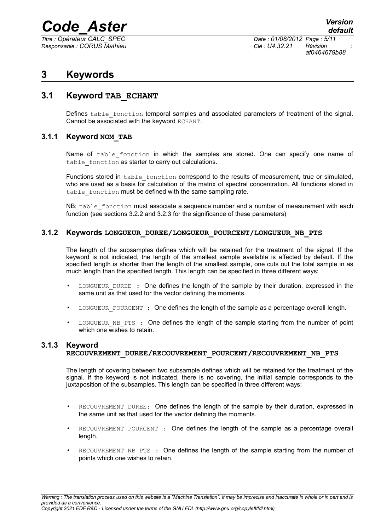*Titre : Opérateur CALC\_SPEC Date : 01/08/2012 Page : 5/11 Responsable : CORUS Mathieu Clé : U4.32.21 Révision :*

*af0464679b88*

### <span id="page-4-4"></span>**3 Keywords**

#### **3.1 Keyword TAB\_ECHANT**

<span id="page-4-3"></span>Defines table fonction temporal samples and associated parameters of treatment of the signal. Cannot be associated with the keyword ECHANT.

#### **3.1.1 Keyword NOM\_TAB**

<span id="page-4-2"></span>Name of table\_fonction in which the samples are stored. One can specify one name of table fonction as starter to carry out calculations.

Functions stored in table fonction correspond to the results of measurement, true or simulated, who are used as a basis for calculation of the matrix of spectral concentration. All functions stored in table fonction must be defined with the same sampling rate.

NB: table fonction must associate a sequence number and a number of measurement with each function (see sections 3.2.2 and 3.2.3 for the significance of these parameters)

#### **3.1.2 Keywords LONGUEUR\_DUREE/LONGUEUR\_POURCENT/LONGUEUR\_NB\_PTS**

<span id="page-4-1"></span>The length of the subsamples defines which will be retained for the treatment of the signal. If the keyword is not indicated, the length of the smallest sample available is affected by default. If the specified length is shorter than the length of the smallest sample, one cuts out the total sample in as much length than the specified length. This length can be specified in three different ways:

- LONGUEUR DUREE : One defines the length of the sample by their duration, expressed in the same unit as that used for the vector defining the moments.
- LONGUEUR POURCENT : One defines the length of the sample as a percentage overall length.
- LONGUEUR NB PTS : One defines the length of the sample starting from the number of point which one wishes to retain.

#### **3.1.3 Keyword**

#### <span id="page-4-0"></span>**RECOUVREMENT\_DUREE/RECOUVREMENT\_POURCENT/RECOUVREMENT\_NB\_PTS**

The length of covering between two subsample defines which will be retained for the treatment of the signal. If the keyword is not indicated, there is no covering, the initial sample corresponds to the juxtaposition of the subsamples. This length can be specified in three different ways:

- RECOUVREMENT DUREE: One defines the length of the sample by their duration, expressed in the same unit as that used for the vector defining the moments.
- RECOUVREMENT POURCENT : One defines the length of the sample as a percentage overall length.
- RECOUVREMENT NB PTS : One defines the length of the sample starting from the number of points which one wishes to retain.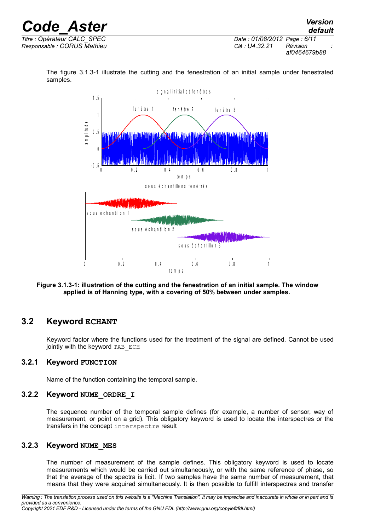

The figure [3.1.3-1](#page-5-4) illustrate the cutting and the fenestration of an initial sample under fenestrated samples.



<span id="page-5-4"></span>**Figure 3.1.3-1: illustration of the cutting and the fenestration of an initial sample. The window applied is of Hanning type, with a covering of 50% between under samples.** 

#### **3.2 Keyword ECHANT**

<span id="page-5-3"></span>Keyword factor where the functions used for the treatment of the signal are defined. Cannot be used jointly with the keyword TAB ECH

#### **3.2.1 Keyword FUNCTION**

<span id="page-5-2"></span><span id="page-5-1"></span>Name of the function containing the temporal sample.

#### **3.2.2 Keyword NUME\_ORDRE\_I**

The sequence number of the temporal sample defines (for example, a number of sensor, way of measurement, or point on a grid). This obligatory keyword is used to locate the interspectres or the transfers in the concept interspectre result

#### **3.2.3 Keyword NUME\_MES**

<span id="page-5-0"></span>The number of measurement of the sample defines. This obligatory keyword is used to locate measurements which would be carried out simultaneously, or with the same reference of phase, so that the average of the spectra is licit. If two samples have the same number of measurement, that means that they were acquired simultaneously. It is then possible to fulfill interspectres and transfer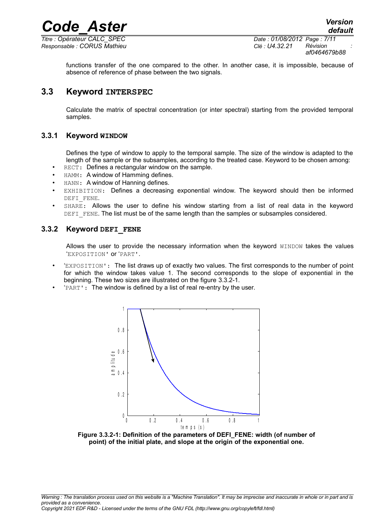*Titre : Opérateur CALC\_SPEC Date : 01/08/2012 Page : 7/11 Responsable : CORUS Mathieu Clé : U4.32.21 Révision :*

*af0464679b88*

functions transfer of the one compared to the other. In another case, it is impossible, because of absence of reference of phase between the two signals.

#### **3.3 Keyword INTERSPEC**

<span id="page-6-2"></span>Calculate the matrix of spectral concentration (or inter spectral) starting from the provided temporal samples.

#### **3.3.1 Keyword WINDOW**

<span id="page-6-1"></span>Defines the type of window to apply to the temporal sample. The size of the window is adapted to the length of the sample or the subsamples, according to the treated case. Keyword to be chosen among:

- RECT: Defines a rectangular window on the sample.
- HAMM: A window of Hamming defines.
- HANN: A window of Hanning defines.
- EXHIBITION: Defines a decreasing exponential window. The keyword should then be informed DEFI\_FENE.
- SHARE: Allows the user to define his window starting from a list of real data in the keyword DEFI FENE. The list must be of the same length than the samples or subsamples considered.

#### **3.3.2 Keyword DEFI\_FENE**

<span id="page-6-0"></span>Allows the user to provide the necessary information when the keyword WINDOW takes the values 'EXPOSITION' or 'PART'.

- 'EXPOSITION': The list draws up of exactly two values. The first corresponds to the number of point for which the window takes value 1. The second corresponds to the slope of exponential in the beginning. These two sizes are illustrated on the figure [3.3.2-1.](#page-6-3)
- 'PART': The window is defined by a list of real re-entry by the user.



<span id="page-6-3"></span>**Figure 3.3.2-1: Definition of the parameters of DEFI\_FENE: width (of number of point) of the initial plate, and slope at the origin of the exponential one.**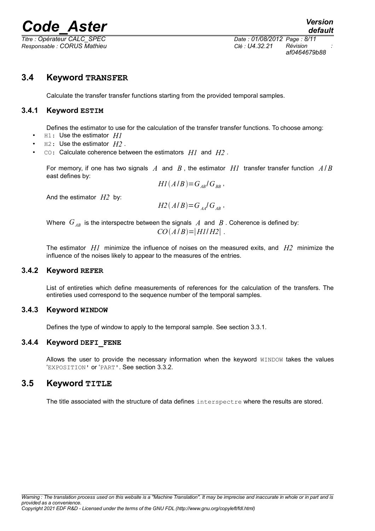*Titre : Opérateur CALC\_SPEC Date : 01/08/2012 Page : 8/11 Responsable : CORUS Mathieu Clé : U4.32.21 Révision :*

#### **3.4 Keyword TRANSFER**

<span id="page-7-5"></span><span id="page-7-4"></span>Calculate the transfer transfer functions starting from the provided temporal samples.

#### **3.4.1 Keyword ESTIM**

Defines the estimator to use for the calculation of the transfer transfer functions. To choose among:

- H1: Use the estimator *H1*
- H2: Use the estimator *H2* .
- CO: Calculate coherence between the estimators *H1* and *H2* .

For memory, if one has two signals *A* and *B* , the estimator *H1* transfer transfer function *A*/ *B* east defines by:

 $H1(A/B)=G_{AB}/G_{BB}$ ,

And the estimator *H2* by:

$$
H2(A/B)=G_{AA}/G_{AB}
$$

Where  $G_{AB}$  is the interspectre between the signals  $A$  and  $B$ . Coherence is defined by:  $CO(A/B) = |H1/H2|$ .

The estimator *H1* minimize the influence of noises on the measured exits, and *H2* minimize the influence of the noises likely to appear to the measures of the entries.

#### **3.4.2 Keyword REFER**

<span id="page-7-3"></span>List of entireties which define measurements of references for the calculation of the transfers. The entireties used correspond to the sequence number of the temporal samples.

#### **3.4.3 Keyword WINDOW**

<span id="page-7-2"></span><span id="page-7-1"></span>Defines the type of window to apply to the temporal sample. See section 3.3.1.

#### **3.4.4 Keyword DEFI\_FENE**

Allows the user to provide the necessary information when the keyword WINDOW takes the values 'EXPOSITION' or 'PART'. See section 3.3.2.

#### **3.5 Keyword TITLE**

<span id="page-7-0"></span>The title associated with the structure of data defines interspectre where the results are stored.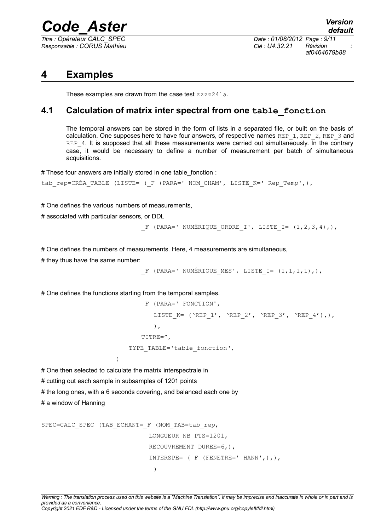*Titre : Opérateur CALC\_SPEC Date : 01/08/2012 Page : 9/11 Responsable : CORUS Mathieu Clé : U4.32.21 Révision :*

*af0464679b88*

### **4 Examples**

<span id="page-8-1"></span><span id="page-8-0"></span>These examples are drawn from the case test zzzz241a.

#### **4.1 Calculation of matrix inter spectral from one table\_fonction**

The temporal answers can be stored in the form of lists in a separated file, or built on the basis of calculation. One supposes here to have four answers, of respective names REP  $1$ , REP  $2$ , REP  $3$  and REP\_4. It is supposed that all these measurements were carried out simultaneously. In the contrary case, it would be necessary to define a number of measurement per batch of simultaneous acquisitions.

# These four answers are initially stored in one table\_fonction :

```
tab_rep=CRÉA_TABLE (LISTE= ( F (PARA=' NOM_CHAM', LISTE_K=' Rep_Temp',),
```
# One defines the various numbers of measurements,

# associated with particular sensors, or DDL

F (PARA=' NUMÉRIQUE ORDRE I', LISTE I=  $(1,2,3,4)$ ,),

# One defines the numbers of measurements. Here, 4 measurements are simultaneous,

# they thus have the same number:

F (PARA=' NUMÉRIQUE MES', LISTE I=  $(1,1,1,1)$ ,),

# One defines the functions starting from the temporal samples.

```
_F (PARA=' FONCTION',
          LISTE K= ('REP 1', 'REP 2', 'REP 3', 'REP 4'),),
          ),
       TITRE=",
   TYPE TABLE='table fonction',
\lambda
```
# One then selected to calculate the matrix interspectrale in

# cutting out each sample in subsamples of 1201 points

# the long ones, with a 6 seconds covering, and balanced each one by

# a window of Hanning

```
SPEC=CALC SPEC (TAB ECHANT= F (NOM TAB=tab rep,
                              LONGUEUR_NB_PTS=1201,
                             RECOUVREMENT DUREE=6,),
                             INTERSPE= (FENETRE=' HANN',),),\lambda
```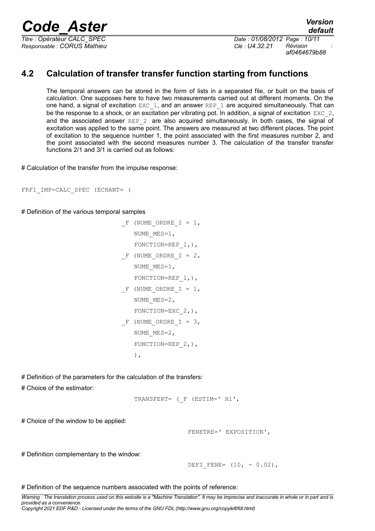*Responsable : CORUS Mathieu Clé : U4.32.21 Révision :*

*Titre : Opérateur CALC\_SPEC Date : 01/08/2012 Page : 10/11 af0464679b88*

### **4.2 Calculation of transfer transfer function starting from functions**

<span id="page-9-0"></span>The temporal answers can be stored in the form of lists in a separated file, or built on the basis of calculation. One supposes here to have two measurements carried out at different moments. On the one hand, a signal of excitation EXC 1, and an answer REP 1 are acquired simultaneously. That can be the response to a shock, or an excitation per vibrating pot. In addition, a signal of excitation  $EXC<sub>2</sub>$ , and the associated answer REP  $2$  are also acquired simultaneously. In both cases, the signal of excitation was applied to the same point. The answers are measured at two different places. The point of excitation to the sequence number 1, the point associated with the first measures number 2, and the point associated with the second measures number 3. The calculation of the transfer transfer functions 2/1 and 3/1 is carried out as follows:

# Calculation of the transfer from the impulse response:

```
FRF1_IMP=CALC_SPEC (ECHANT= (
```
# Definition of the various temporal samples

```
F (NUME ORDRE I = 1,
   NUME_MES=1,
   FONCTION=REP 1, ),
F (NUME ORDRE I = 2,
   NUME_MES=1,
   FONCTION=REP 1, ),
F (NUME ORDRE I = 1,
   NUME MES=2,
   FONCTION=EXC 2, ),
F (NUME ORDRE I = 3,
   NUME MES=2,
   FONCTION=REP 2, ),
   ),
```
# Definition of the parameters for the calculation of the transfers:

# Choice of the estimator:

```
TRANSFERT= (_F (ESTIM=' H1',
```
# Choice of the window to be applied:

FENETRE=' EXPOSITION',

# Definition complementary to the window:

DEFI FENE=  $(10, - 0.02)$ ,

# Definition of the sequence numbers associated with the points of reference:

*Warning : The translation process used on this website is a "Machine Translation". It may be imprecise and inaccurate in whole or in part and is provided as a convenience. Copyright 2021 EDF R&D - Licensed under the terms of the GNU FDL (http://www.gnu.org/copyleft/fdl.html)*